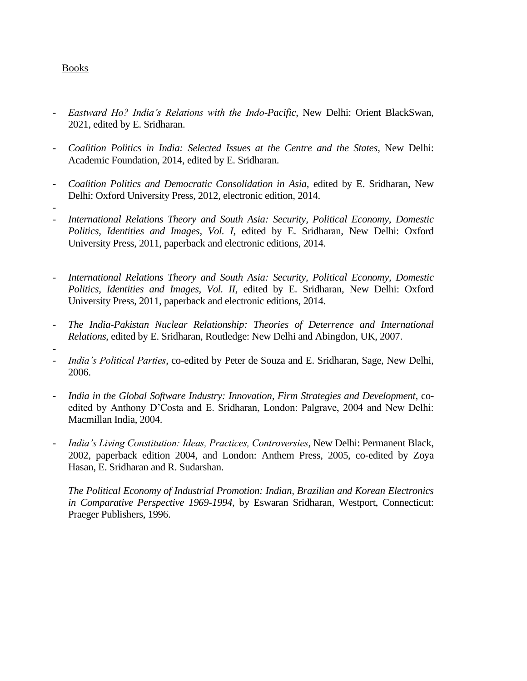## Books

- *Eastward Ho? India's Relations with the Indo-Pacific*, New Delhi: Orient BlackSwan, 2021, edited by E. Sridharan.
- *Coalition Politics in India: Selected Issues at the Centre and the States*, New Delhi: Academic Foundation, 2014, edited by E. Sridharan.
- *Coalition Politics and Democratic Consolidation in Asia,* edited by E. Sridharan, New Delhi: Oxford University Press, 2012, electronic edition, 2014.
- - *International Relations Theory and South Asia: Security, Political Economy, Domestic Politics, Identities and Images, Vol. I,* edited by E. Sridharan, New Delhi: Oxford University Press, 2011, paperback and electronic editions, 2014.
- *International Relations Theory and South Asia: Security, Political Economy, Domestic Politics, Identities and Images, Vol. II,* edited by E. Sridharan, New Delhi: Oxford University Press, 2011, paperback and electronic editions, 2014.
- *The India-Pakistan Nuclear Relationship: Theories of Deterrence and International Relations*, edited by E. Sridharan, Routledge: New Delhi and Abingdon, UK, 2007.
- - *India's Political Parties*, co-edited by Peter de Souza and E. Sridharan, Sage, New Delhi, 2006.
- *India in the Global Software Industry: Innovation, Firm Strategies and Development*, coedited by Anthony D'Costa and E. Sridharan, London: Palgrave, 2004 and New Delhi: Macmillan India, 2004.
- *India's Living Constitution: Ideas, Practices, Controversies*, New Delhi: Permanent Black, 2002, paperback edition 2004, and London: Anthem Press, 2005, co-edited by Zoya Hasan, E. Sridharan and R. Sudarshan.

*The Political Economy of Industrial Promotion: Indian, Brazilian and Korean Electronics in Comparative Perspective 1969-1994*, by Eswaran Sridharan, Westport, Connecticut: Praeger Publishers, 1996.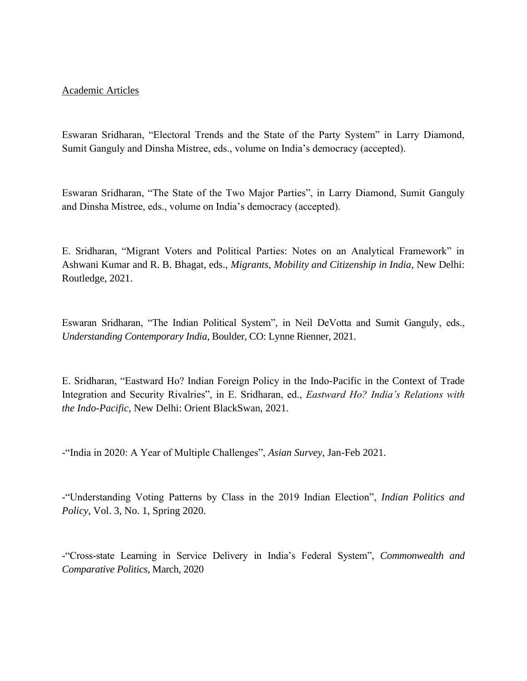## Academic Articles

Eswaran Sridharan, "Electoral Trends and the State of the Party System" in Larry Diamond, Sumit Ganguly and Dinsha Mistree, eds., volume on India's democracy (accepted).

Eswaran Sridharan, "The State of the Two Major Parties", in Larry Diamond, Sumit Ganguly and Dinsha Mistree, eds., volume on India's democracy (accepted).

E. Sridharan, "Migrant Voters and Political Parties: Notes on an Analytical Framework" in Ashwani Kumar and R. B. Bhagat, eds., *Migrants, Mobility and Citizenship in India*, New Delhi: Routledge, 2021.

Eswaran Sridharan, "The Indian Political System", in Neil DeVotta and Sumit Ganguly, eds., *Understanding Contemporary India*, Boulder, CO: Lynne Rienner, 2021.

E. Sridharan, "Eastward Ho? Indian Foreign Policy in the Indo-Pacific in the Context of Trade Integration and Security Rivalries", in E. Sridharan, ed., *Eastward Ho? India's Relations with the Indo-Pacific*, New Delhi: Orient BlackSwan, 2021.

-"India in 2020: A Year of Multiple Challenges", *Asian Survey*, Jan-Feb 2021.

-"Understanding Voting Patterns by Class in the 2019 Indian Election", *Indian Politics and Policy*, Vol. 3, No. 1, Spring 2020.

-"Cross-state Learning in Service Delivery in India's Federal System", *Commonwealth and Comparative Politics*, March, 2020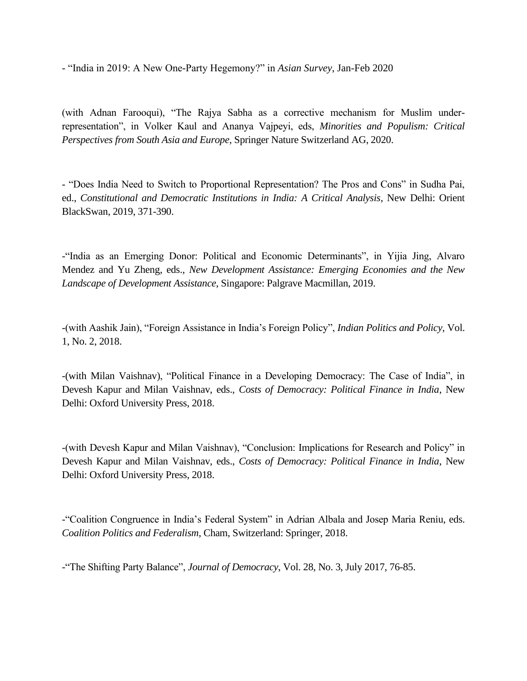- "India in 2019: A New One-Party Hegemony?" in *Asian Survey*, Jan-Feb 2020

(with Adnan Farooqui), "The Rajya Sabha as a corrective mechanism for Muslim underrepresentation", in Volker Kaul and Ananya Vajpeyi, eds, *Minorities and Populism: Critical Perspectives from South Asia and Europe,* Springer Nature Switzerland AG, 2020.

- "Does India Need to Switch to Proportional Representation? The Pros and Cons" in Sudha Pai, ed., *Constitutional and Democratic Institutions in India: A Critical Analysis*, New Delhi: Orient BlackSwan, 2019, 371-390.

-"India as an Emerging Donor: Political and Economic Determinants", in Yijia Jing, Alvaro Mendez and Yu Zheng, eds., *New Development Assistance: Emerging Economies and the New Landscape of Development Assistance*, Singapore: Palgrave Macmillan, 2019.

-(with Aashik Jain), "Foreign Assistance in India's Foreign Policy", *Indian Politics and Policy*, Vol. 1, No. 2, 2018.

-(with Milan Vaishnav), "Political Finance in a Developing Democracy: The Case of India", in Devesh Kapur and Milan Vaishnav, eds., *Costs of Democracy: Political Finance in India*, New Delhi: Oxford University Press, 2018.

-(with Devesh Kapur and Milan Vaishnav), "Conclusion: Implications for Research and Policy" in Devesh Kapur and Milan Vaishnav, eds., *Costs of Democracy: Political Finance in India*, New Delhi: Oxford University Press, 2018.

-"Coalition Congruence in India's Federal System" in Adrian Albala and Josep Maria Reniu, eds. *Coalition Politics and Federalism*, Cham, Switzerland: Springer, 2018.

-"The Shifting Party Balance", *Journal of Democracy*, Vol. 28, No. 3, July 2017, 76-85.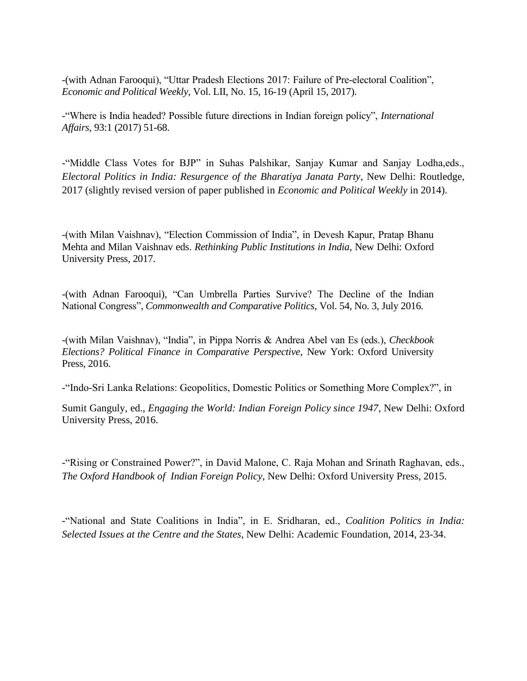-(with Adnan Farooqui), "Uttar Pradesh Elections 2017: Failure of Pre-electoral Coalition", *Economic and Political Weekly*, Vol. LII, No. 15, 16-19 (April 15, 2017).

-"Where is India headed? Possible future directions in Indian foreign policy", *International Affairs*, 93:1 (2017) 51-68.

-"Middle Class Votes for BJP" in Suhas Palshikar, Sanjay Kumar and Sanjay Lodha,eds., *Electoral Politics in India: Resurgence of the Bharatiya Janata Party*, New Delhi: Routledge, 2017 (slightly revised version of paper published in *Economic and Political Weekly* in 2014).

-(with Milan Vaishnav), "Election Commission of India", in Devesh Kapur, Pratap Bhanu Mehta and Milan Vaishnav eds. *Rethinking Public Institutions in India*, New Delhi: Oxford University Press, 2017.

-(with Adnan Farooqui), "Can Umbrella Parties Survive? The Decline of the Indian National Congress", *Commonwealth and Comparative Politics*, Vol. 54, No. 3, July 2016.

-(with Milan Vaishnav), "India", in Pippa Norris & Andrea Abel van Es (eds.), *Checkbook Elections? Political Finance in Comparative Perspective*, New York: Oxford University Press, 2016.

-"Indo-Sri Lanka Relations: Geopolitics, Domestic Politics or Something More Complex?", in

Sumit Ganguly, ed., *Engaging the World: Indian Foreign Policy since 1947*, New Delhi: Oxford University Press, 2016.

-"Rising or Constrained Power?", in David Malone, C. Raja Mohan and Srinath Raghavan, eds., *The Oxford Handbook of Indian Foreign Policy*, New Delhi: Oxford University Press, 2015.

-"National and State Coalitions in India", in E. Sridharan, ed., *Coalition Politics in India: Selected Issues at the Centre and the States*, New Delhi: Academic Foundation, 2014, 23-34.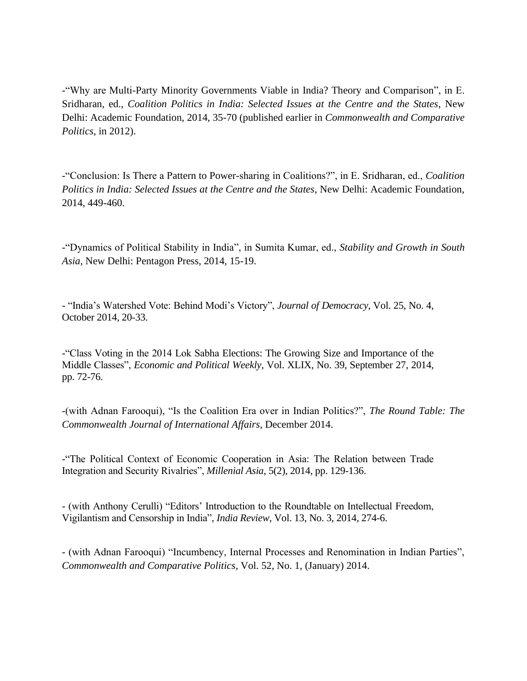-"Why are Multi-Party Minority Governments Viable in India? Theory and Comparison", in E. Sridharan, ed., *Coalition Politics in India: Selected Issues at the Centre and the States*, New Delhi: Academic Foundation, 2014, 35-70 (published earlier in *Commonwealth and Comparative Politics*, in 2012).

-"Conclusion: Is There a Pattern to Power-sharing in Coalitions?", in E. Sridharan, ed., *Coalition Politics in India: Selected Issues at the Centre and the States*, New Delhi: Academic Foundation, 2014, 449-460.

-"Dynamics of Political Stability in India", in Sumita Kumar, ed., *Stability and Growth in South Asia*, New Delhi: Pentagon Press, 2014, 15-19.

- "India's Watershed Vote: Behind Modi's Victory", *Journal of Democracy*, Vol. 25, No. 4, October 2014, 20-33.

-"Class Voting in the 2014 Lok Sabha Elections: The Growing Size and Importance of the Middle Classes", *Economic and Political Weekly*, Vol. XLIX, No. 39, September 27, 2014, pp. 72-76.

-(with Adnan Farooqui), "Is the Coalition Era over in Indian Politics?", *The Round Table: The Commonwealth Journal of International Affairs*, December 2014.

-"The Political Context of Economic Cooperation in Asia: The Relation between Trade Integration and Security Rivalries", *Millenial Asia*, 5(2), 2014, pp. 129-136.

- (with Anthony Cerulli) "Editors' Introduction to the Roundtable on Intellectual Freedom, Vigilantism and Censorship in India", *India Review*, Vol. 13, No. 3, 2014, 274-6.

- (with Adnan Farooqui) "Incumbency, Internal Processes and Renomination in Indian Parties", *Commonwealth and Comparative Politics*, Vol. 52, No. 1, (January) 2014.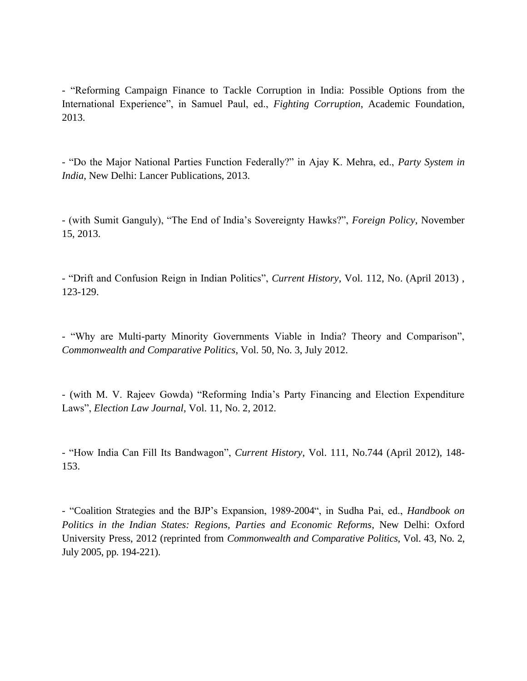- "Reforming Campaign Finance to Tackle Corruption in India: Possible Options from the International Experience", in Samuel Paul, ed., *Fighting Corruption*, Academic Foundation, 2013.

- "Do the Major National Parties Function Federally?" in Ajay K. Mehra, ed., *Party System in India*, New Delhi: Lancer Publications, 2013.

- (with Sumit Ganguly), "The End of India's Sovereignty Hawks?", *Foreign Policy*, November 15, 2013.

- "Drift and Confusion Reign in Indian Politics", *Current History*, Vol. 112, No. (April 2013) , 123-129.

- "Why are Multi-party Minority Governments Viable in India? Theory and Comparison", *Commonwealth and Comparative Politics*, Vol. 50, No. 3, July 2012.

- (with M. V. Rajeev Gowda) "Reforming India's Party Financing and Election Expenditure Laws", *Election Law Journal*, Vol. 11, No. 2, 2012.

- "How India Can Fill Its Bandwagon", *Current History*, Vol. 111, No.744 (April 2012), 148- 153.

- "Coalition Strategies and the BJP's Expansion, 1989-2004", in Sudha Pai, ed., *Handbook on Politics in the Indian States: Regions, Parties and Economic Reforms*, New Delhi: Oxford University Press, 2012 (reprinted from *Commonwealth and Comparative Politics*, Vol. 43, No. 2, July 2005, pp. 194-221).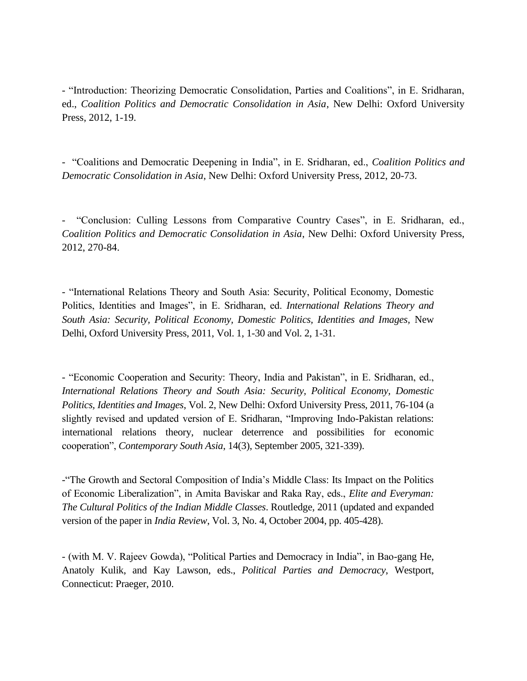- "Introduction: Theorizing Democratic Consolidation, Parties and Coalitions", in E. Sridharan, ed., *Coalition Politics and Democratic Consolidation in Asia*, New Delhi: Oxford University Press, 2012, 1-19.

- "Coalitions and Democratic Deepening in India", in E. Sridharan, ed., *Coalition Politics and Democratic Consolidation in Asia*, New Delhi: Oxford University Press, 2012, 20-73.

- "Conclusion: Culling Lessons from Comparative Country Cases", in E. Sridharan, ed., *Coalition Politics and Democratic Consolidation in Asia*, New Delhi: Oxford University Press, 2012, 270-84.

- "International Relations Theory and South Asia: Security, Political Economy, Domestic Politics, Identities and Images", in E. Sridharan, ed. *International Relations Theory and South Asia: Security, Political Economy, Domestic Politics, Identities and Images,* New Delhi, Oxford University Press, 2011, Vol. 1, 1-30 and Vol. 2, 1-31.

- "Economic Cooperation and Security: Theory, India and Pakistan", in E. Sridharan, ed., *International Relations Theory and South Asia: Security, Political Economy, Domestic Politics, Identities and Images*, Vol. 2, New Delhi: Oxford University Press, 2011, 76-104 (a slightly revised and updated version of E. Sridharan, "Improving Indo-Pakistan relations: international relations theory, nuclear deterrence and possibilities for economic cooperation", *Contemporary South Asia*, 14(3), September 2005, 321-339).

-"The Growth and Sectoral Composition of India's Middle Class: Its Impact on the Politics of Economic Liberalization", in Amita Baviskar and Raka Ray, eds., *Elite and Everyman: The Cultural Politics of the Indian Middle Classes*. Routledge, 2011 (updated and expanded version of the paper in *India Review*, Vol. 3, No. 4, October 2004, pp. 405-428).

- (with M. V. Rajeev Gowda), "Political Parties and Democracy in India", in Bao-gang He, Anatoly Kulik, and Kay Lawson, eds., *Political Parties and Democracy*, Westport, Connecticut: Praeger, 2010.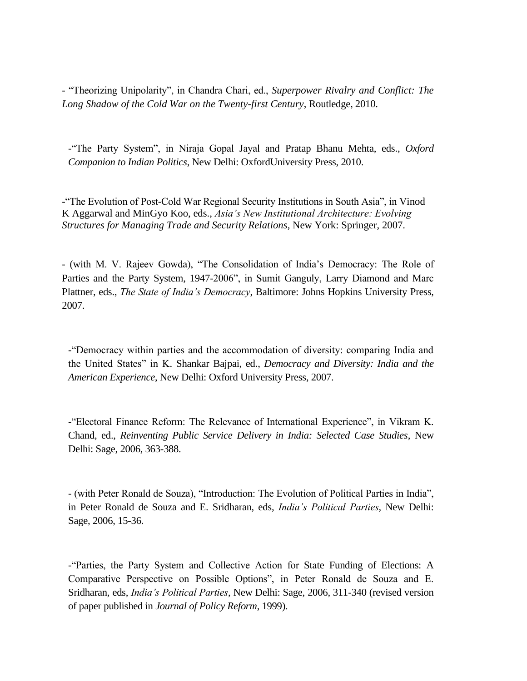- "Theorizing Unipolarity", in Chandra Chari, ed., *Superpower Rivalry and Conflict: The Long Shadow of the Cold War on the Twenty-first Century*, Routledge, 2010.

-"The Party System", in Niraja Gopal Jayal and Pratap Bhanu Mehta, eds., *Oxford Companion to Indian Politics*, New Delhi: OxfordUniversity Press, 2010.

-"The Evolution of Post-Cold War Regional Security Institutions in South Asia", in Vinod K Aggarwal and MinGyo Koo, eds., *Asia's New Institutional Architecture: Evolving Structures for Managing Trade and Security Relations*, New York: Springer, 2007.

- (with M. V. Rajeev Gowda), "The Consolidation of India's Democracy: The Role of Parties and the Party System, 1947-2006", in Sumit Ganguly, Larry Diamond and Marc Plattner, eds., *The State of India's Democracy*, Baltimore: Johns Hopkins University Press, 2007.

-"Democracy within parties and the accommodation of diversity: comparing India and the United States" in K. Shankar Bajpai, ed., *Democracy and Diversity: India and the American Experience*, New Delhi: Oxford University Press, 2007.

-"Electoral Finance Reform: The Relevance of International Experience", in Vikram K. Chand, ed., *Reinventing Public Service Delivery in India: Selected Case Studies*, New Delhi: Sage, 2006, 363-388.

- (with Peter Ronald de Souza), "Introduction: The Evolution of Political Parties in India", in Peter Ronald de Souza and E. Sridharan, eds, *India's Political Parties*, New Delhi: Sage, 2006, 15-36.

-"Parties, the Party System and Collective Action for State Funding of Elections: A Comparative Perspective on Possible Options", in Peter Ronald de Souza and E. Sridharan, eds, *India's Political Parties*, New Delhi: Sage, 2006, 311-340 (revised version of paper published in *Journal of Policy Reform*, 1999).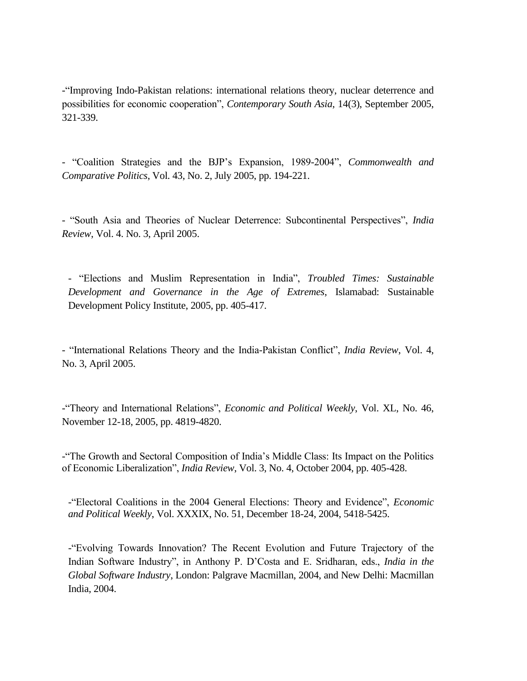-"Improving Indo-Pakistan relations: international relations theory, nuclear deterrence and possibilities for economic cooperation", *Contemporary South Asia*, 14(3), September 2005, 321-339.

- "Coalition Strategies and the BJP's Expansion, 1989-2004", *Commonwealth and Comparative Politics*, Vol. 43, No. 2, July 2005, pp. 194-221.

- "South Asia and Theories of Nuclear Deterrence: Subcontinental Perspectives", *India Review*, Vol. 4. No. 3, April 2005.

- "Elections and Muslim Representation in India", *Troubled Times: Sustainable Development and Governance in the Age of Extremes*, Islamabad: Sustainable Development Policy Institute, 2005, pp. 405-417.

- "International Relations Theory and the India-Pakistan Conflict", *India Review*, Vol. 4, No. 3, April 2005.

-"Theory and International Relations", *Economic and Political Weekly*, Vol. XL, No. 46, November 12-18, 2005, pp. 4819-4820.

-"The Growth and Sectoral Composition of India's Middle Class: Its Impact on the Politics of Economic Liberalization", *India Review*, Vol. 3, No. 4, October 2004, pp. 405-428.

-"Electoral Coalitions in the 2004 General Elections: Theory and Evidence", *Economic and Political Weekly*, Vol. XXXIX, No. 51, December 18-24, 2004, 5418-5425.

-"Evolving Towards Innovation? The Recent Evolution and Future Trajectory of the Indian Software Industry", in Anthony P. D'Costa and E. Sridharan, eds., *India in the Global Software Industry*, London: Palgrave Macmillan, 2004, and New Delhi: Macmillan India, 2004.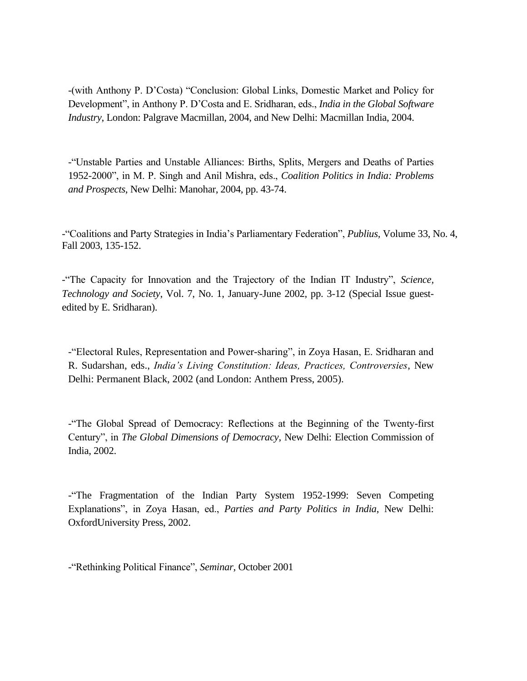-(with Anthony P. D'Costa) "Conclusion: Global Links, Domestic Market and Policy for Development", in Anthony P. D'Costa and E. Sridharan, eds., *India in the Global Software Industry*, London: Palgrave Macmillan, 2004, and New Delhi: Macmillan India, 2004.

-"Unstable Parties and Unstable Alliances: Births, Splits, Mergers and Deaths of Parties 1952-2000", in M. P. Singh and Anil Mishra, eds., *Coalition Politics in India: Problems and Prospects*, New Delhi: Manohar, 2004, pp. 43-74.

-"Coalitions and Party Strategies in India's Parliamentary Federation", *Publius,* Volume 33, No. 4, Fall 2003, 135-152.

-"The Capacity for Innovation and the Trajectory of the Indian IT Industry", *Science, Technology and Society*, Vol. 7, No. 1, January-June 2002, pp. 3-12 (Special Issue guestedited by E. Sridharan).

-"Electoral Rules, Representation and Power-sharing", in Zoya Hasan, E. Sridharan and R. Sudarshan, eds., *India's Living Constitution: Ideas, Practices, Controversies*, New Delhi: Permanent Black, 2002 (and London: Anthem Press, 2005).

-"The Global Spread of Democracy: Reflections at the Beginning of the Twenty-first Century", in *The Global Dimensions of Democracy*, New Delhi: Election Commission of India, 2002.

-"The Fragmentation of the Indian Party System 1952-1999: Seven Competing Explanations", in Zoya Hasan, ed., *Parties and Party Politics in India*, New Delhi: OxfordUniversity Press, 2002.

-"Rethinking Political Finance", *Seminar*, October 2001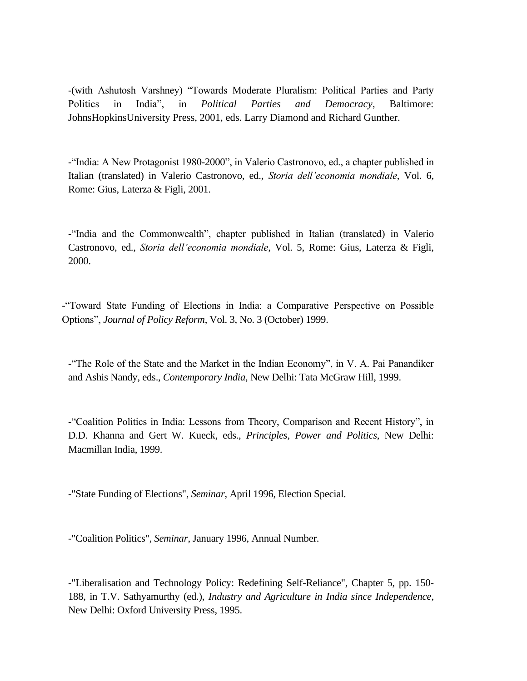-(with Ashutosh Varshney) "Towards Moderate Pluralism: Political Parties and Party Politics in India", in *Political Parties and Democracy*, Baltimore: JohnsHopkinsUniversity Press, 2001, eds. Larry Diamond and Richard Gunther.

-"India: A New Protagonist 1980-2000", in Valerio Castronovo, ed., a chapter published in Italian (translated) in Valerio Castronovo, ed., *Storia dell'economia mondiale*, Vol. 6, Rome: Gius, Laterza & Figli, 2001.

-"India and the Commonwealth", chapter published in Italian (translated) in Valerio Castronovo, ed., *Storia dell'economia mondiale*, Vol. 5, Rome: Gius, Laterza & Figli, 2000.

-"Toward State Funding of Elections in India: a Comparative Perspective on Possible Options", *Journal of Policy Reform*, Vol. 3, No. 3 (October) 1999.

-"The Role of the State and the Market in the Indian Economy", in V. A. Pai Panandiker and Ashis Nandy, eds., *Contemporary India*, New Delhi: Tata McGraw Hill, 1999.

-"Coalition Politics in India: Lessons from Theory, Comparison and Recent History", in D.D. Khanna and Gert W. Kueck, eds., *Principles, Power and Politics*, New Delhi: Macmillan India, 1999.

-"State Funding of Elections", *Seminar*, April 1996, Election Special.

-"Coalition Politics", *Seminar*, January 1996, Annual Number.

-"Liberalisation and Technology Policy: Redefining Self-Reliance", Chapter 5, pp. 150- 188, in T.V. Sathyamurthy (ed.), *Industry and Agriculture in India since Independence*, New Delhi: Oxford University Press, 1995.